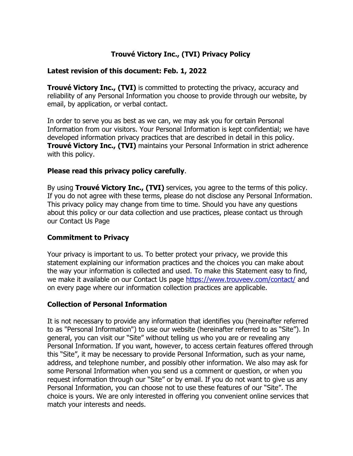# **Trouvé Victory Inc., (TVI) Privacy Policy**

#### **Latest revision of this document: Feb. 1, 2022**

**Trouvé Victory Inc., (TVI)** is committed to protecting the privacy, accuracy and reliability of any Personal Information you choose to provide through our website, by email, by application, or verbal contact.

In order to serve you as best as we can, we may ask you for certain Personal Information from our visitors. Your Personal Information is kept confidential; we have developed information privacy practices that are described in detail in this policy. **Trouvé Victory Inc., (TVI)** maintains your Personal Information in strict adherence with this policy.

## **Please read this privacy policy carefully**.

By using **Trouvé Victory Inc., (TVI)** services, you agree to the terms of this policy. If you do not agree with these terms, please do not disclose any Personal Information. This privacy policy may change from time to time. Should you have any questions about this policy or our data collection and use practices, please contact us through our Contact Us Page

## **Commitment to Privacy**

Your privacy is important to us. To better protect your privacy, we provide this statement explaining our information practices and the choices you can make about the way your information is collected and used. To make this Statement easy to find, we make it available on our Contact Us page<https://www.trouveev.com/contact/> and on every page where our information collection practices are applicable.

## **Collection of Personal Information**

It is not necessary to provide any information that identifies you (hereinafter referred to as "Personal Information") to use our website (hereinafter referred to as "Site"). In general, you can visit our "Site" without telling us who you are or revealing any Personal Information. If you want, however, to access certain features offered through this "Site", it may be necessary to provide Personal Information, such as your name, address, and telephone number, and possibly other information. We also may ask for some Personal Information when you send us a comment or question, or when you request information through our "Site" or by email. If you do not want to give us any Personal Information, you can choose not to use these features of our "Site". The choice is yours. We are only interested in offering you convenient online services that match your interests and needs.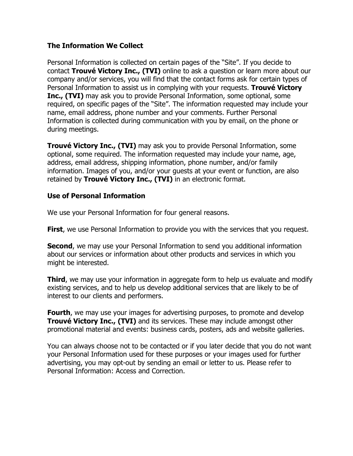## **The Information We Collect**

Personal Information is collected on certain pages of the "Site". If you decide to contact **Trouvé Victory Inc., (TVI)** online to ask a question or learn more about our company and/or services, you will find that the contact forms ask for certain types of Personal Information to assist us in complying with your requests. **Trouvé Victory Inc., (TVI)** may ask you to provide Personal Information, some optional, some required, on specific pages of the "Site". The information requested may include your name, email address, phone number and your comments. Further Personal Information is collected during communication with you by email, on the phone or during meetings.

**Trouvé Victory Inc., (TVI)** may ask you to provide Personal Information, some optional, some required. The information requested may include your name, age, address, email address, shipping information, phone number, and/or family information. Images of you, and/or your guests at your event or function, are also retained by **Trouvé Victory Inc., (TVI)** in an electronic format.

## **Use of Personal Information**

We use your Personal Information for four general reasons.

**First**, we use Personal Information to provide you with the services that you request.

**Second**, we may use your Personal Information to send you additional information about our services or information about other products and services in which you might be interested.

**Third**, we may use your information in aggregate form to help us evaluate and modify existing services, and to help us develop additional services that are likely to be of interest to our clients and performers.

**Fourth**, we may use your images for advertising purposes, to promote and develop **Trouvé Victory Inc., (TVI)** and its services. These may include amongst other promotional material and events: business cards, posters, ads and website galleries.

You can always choose not to be contacted or if you later decide that you do not want your Personal Information used for these purposes or your images used for further advertising, you may opt-out by sending an email or letter to us. Please refer to Personal Information: Access and Correction.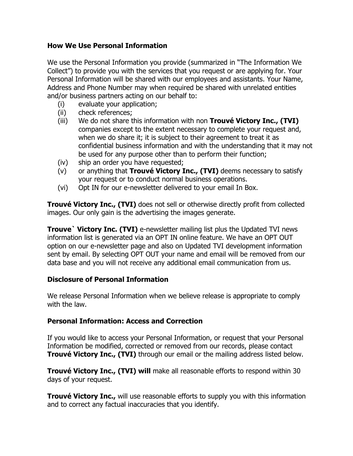## **How We Use Personal Information**

We use the Personal Information you provide (summarized in "The Information We Collect") to provide you with the services that you request or are applying for. Your Personal Information will be shared with our employees and assistants. Your Name, Address and Phone Number may when required be shared with unrelated entities and/or business partners acting on our behalf to:

- (i) evaluate your application;
- (ii) check references;
- (iii) We do not share this information with non **Trouvé Victory Inc., (TVI)** companies except to the extent necessary to complete your request and, when we do share it; it is subject to their agreement to treat it as confidential business information and with the understanding that it may not be used for any purpose other than to perform their function;
- (iv) ship an order you have requested;
- (v) or anything that **Trouvé Victory Inc., (TVI)** deems necessary to satisfy your request or to conduct normal business operations.
- (vi) Opt IN for our e-newsletter delivered to your email In Box.

**Trouvé Victory Inc., (TVI)** does not sell or otherwise directly profit from collected images. Our only gain is the advertising the images generate.

**Trouve` Victory Inc. (TVI)** e-newsletter mailing list plus the Updated TVI news information list is generated via an OPT IN online feature. We have an OPT OUT option on our e-newsletter page and also on Updated TVI development information sent by email. By selecting OPT OUT your name and email will be removed from our data base and you will not receive any additional email communication from us.

## **Disclosure of Personal Information**

We release Personal Information when we believe release is appropriate to comply with the law.

## **Personal Information: Access and Correction**

If you would like to access your Personal Information, or request that your Personal Information be modified, corrected or removed from our records, please contact **Trouvé Victory Inc., (TVI)** through our email or the mailing address listed below.

**Trouvé Victory Inc., (TVI) will** make all reasonable efforts to respond within 30 days of your request.

**Trouvé Victory Inc.,** will use reasonable efforts to supply you with this information and to correct any factual inaccuracies that you identify.